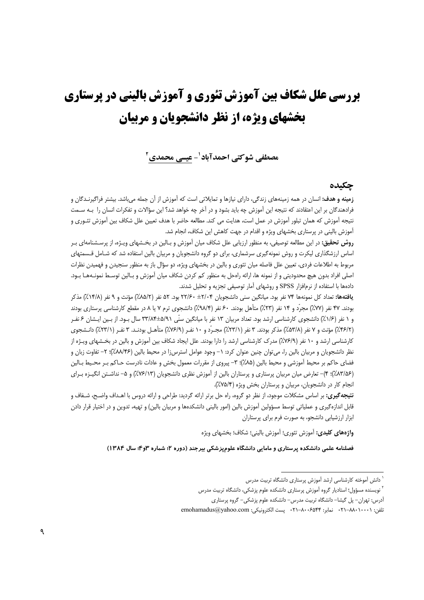# بررسی علل شکاف بین آموزش تئوری و آموزش بالینی در پرستاری **یخشهای ویژه، از نظر دانشحویان و مریبان**

مصطفى شوكتي احمدآباد ٰ- عيسى محمدي ٗ

## جكىدە

**زمینه و هدف:** انسان در همه زمینههای زندگی، دارای نیازها و تمایلاتی است که آموزش از آن جمله می باشد. بیشتر فراگیرنـدگان و فرادهندگان بر این اعتقادند که نتیجه این آموزش چه باید بشود و در آخر چه خواهد شد؟ این سؤالات و تفکرات انسان را بـه ســمت نتیجه آموزش که همان تبلور آموزش در عمل است، هدایت می کند. مطالعه حاضر با هدف تعیین علل شکاف بین آموزش تئــوری و آموزش بالینی در پرستاری بخشهای ویژه و اقدام در جهت کاهش این شکاف، انجام شد.

**روش تحقیق:** در این مطالعه توصیفی، به منظور ارزیابی علل شکاف میان آموزش و بـالین در بخـشهای ویـژه، از پرسـشنامهای بـر اساس ارزشگذاری لیکرت و روش نمونهگیری سرشماری، برای دو گروه دانشجویان و مربیان بالین استفاده شد که شـامل قـسمتهای مربوط به اطلاعات فردی، تعیین علل فاصله میان تئوری و بالین در بخشهای ویژه، دو سؤال باز به منظور سنجیدن و فهمیدن نظرات اصلی افراد بدون هیچ محدودیتی و از نمونه ها، ارائه رامحل به منظور کم کردن شکاف میان آموزش و بـالین توسـط نمونـههـا بـود. دادهها با استفاده از نرمافزار SPSS و روشهای آمار توصیفی تجزیه و تحلیل شدند.

**یافتهها:** تعداد کل نمونهها ۷۴ نفر بود. میانگین سنی دانشجویان ۲۲/۶۰± ۲۲/۶۰بود. ۵۲ نفر (۸۵/۲٪) مؤنث و ۹ نفر (۱۴/۸٪) مذکر بودند. ۴۷ نفر (۷۷٪) مجرّد و ۱۴ نفر (۲۳٪) متأهل بودند. ۶۰ نفر (۹۸/۴٪) دانشجوی ترم ۷ یا ۸ در مقطع کارشناسی پرستاری بودند و ۱ نفر (۱/۶٪) دانشجوی کارشناسی ارشد بود. تعداد مربیان ۱۳ نفر با میانگین سنّی ۸۹/ه±۳۳/۸۴ سال بـود. از بـین ایـشان ۶ نفـر (٢/٣/٢٪) مؤنث و ٧ نفر (۵۳/۸٪) مذکر بودند. ٣ نفر (٢/٢٣٪) مجـرّد و ١٠ نفـر (٧/٢/٩٪) متأهـل بودنـد. ٣ نفـر (٢٣/١٪) دانـشجوي کارشناسی ارشد و ۱۰ نفر (۷۶/۹٪) مدرک کارشناسی ارشد را دارا بودند. علل ایجاد شکاف بین آموزش و بالین در بخـشهای ویـژه از نظر دانشجویان و مربیان بالین را، میتوان چنین عنوان کرد: ١– وجود عوامل استرسi در محیط بالین (۸۸/۴۶٪)؛ ٢– تفاوت زبان و فضای حاکم بر محیط اَموزشی و محیط بالین (۸۵٪)؛ ۳- پیروی از مقررات معمول بخش و عادات نادرست حـاکم بـر محـیط بـالین (۸۳/۵۶٪)؛ ۴)- تعارض میان مربیان پرستاری و پرستاران بالین از آموزش نظری دانشجویان (۷۶/۱۳٪) و ۵- نداشـتن انگیـزه بـرای انجام کار در دانشجویان، مربیان و پرستاران بخش ویژه (۷۵/۴٪).

**نتیجه گیری:** بر اساس مشکلات موجود، از نظر دو گروه، راه حل برتر ارائه گردید: طراحی و ارائه دروس با اهـداف واضـح، شـفاف و قابل اندازه گیری و عملیاتی توسط مسؤولین آموزش بالین (امور بالینی دانشکدهها و مربیان بالین) و تهیه، تدوین و در اختیار قرار دادن ابزار ارزشیابی دانشجو، به صورت فرم برای پرستاران

واژههای کلیدی: آموزش تئوری؛ آموزش بالینی؛ شکاف؛ بخشهای ویژه

فصلنامه علمی دانشکده پرستاری و مامایی دانشگاه علوم پزشکی بیرجند (دوره ۲؛ شماره ۳و۴؛ سال ۱۳۸۴)

<sup>`</sup> دانش آموخته کارشناسی ارشد آموزش پرستاری دانشگاه تربیت مدرس

<sup>&</sup>lt;sup>۲</sup> نویسنده مسؤول؛ استادیار گروه آموزش پرستاری دانشکده علوم پزشکی، دانشگاه تربیت مدرس

آدرس: تهران– پل گیشا– دانشگاه تربیت مدرس– دانشکده علوم پزشکی– گروه پرستاری

تلفن: ٠٢١٠-٨٨٠-٢١٠ نماير: ٨٠٠۶۵۴۴-٢١٠ يست الكترونيكي: emohamadus@yahoo.com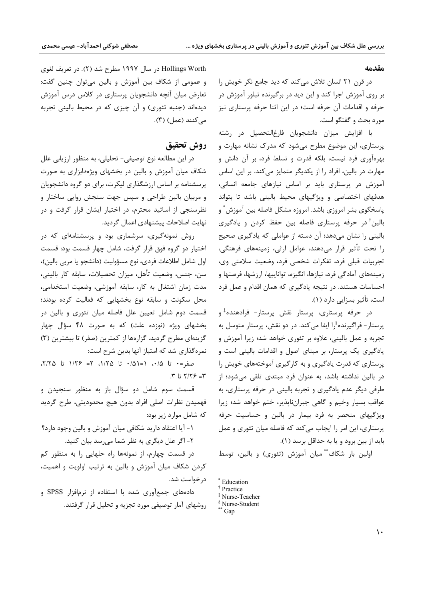#### مقدمه

در قرن ۲۱ انسان تلاش می کند که دید جامع نگر خویش را بر روی آموزش اجرا کند و این دید در برگیرنده تبلور آموزش در حرفه و اقدامات آن حرفه است؛ در این اثنا حرفه پرستاری نیز مورد بحث و گفتگو است.

با افزایش میزان دانشجویان فارغالتحصیل در رشته پرستاری، این موضوع مطرح میشود که مدرک نشانه مهارت و بهرهآوری فرد نیست، بلکه قدرت و تسلط فرد، بر آن دانش و مهارت در بالین، افراد را از یکدیگر متمایز میکند. بر این اساس آموزش در پرستاری باید بر اساس نیازهای جامعه انسانی، هدفهای اختصاصی و ویژگیهای محیط بالینی باشد تا بتواند پاسخگوی بشر امروزی باشد. امروزه مشکل فاصله بین آموزش ٌ و بالین ٔ در حرفه پرستاری فاصله بین حفظ کردن و یادگیری بالینی را نشان میدهد؛ آن دسته از عواملی که یادگیری صحیح را تحت تأثير قرار مى دهند، عوامل ارثى، زمينههاى فرهنگى، تجربيات قبلي فرد، تفكرات شخصي فرد، وضعيت سلامتي وي، زمینههای آمادگی فرد، نیازها، انگیزه، تواناییها، ارزشها، فرصتها و احساسات هستند. در نتیجه یادگیری که همان اقدام و عمل فرد است، تأثير بسزايي دارد (١).

در حرفه پرستاری، پرستار نقش پرستار- فرادهنده ٔو پرستار – فراگیرنده ٌرا ایفا می کند. در دو نقش، پرستار متوسل به تجربه و عمل بالینی، علاوه بر تئوری خواهد شد؛ زیرا آموزش و یادگیری یک پرستار، بر مبنای اصول و اقدامات بالینی است و پرستاری که قدرت یادگیری و به کارگیری آموختههای خویش را در بالین نداشته باشد، به عنوان فرد مبتدی تلقی میشود؛ از طرفي ديگر عدم يادگيري و تجربه باليني در حرفه پرستاري، به عواقب بسيار وخيم و گاهي جبرانناپذير، ختم خواهد شد؛ زيرا ویژگیهای منحصر به فرد بیمار در بالین و حساسیت حرفه پرستاری، این امر را ایجاب میکند که فاصله میان تئوری و عمل بايد از بين برود و يا به حداقل برسد (١).

اولین بار شکاف \*\* میان آموزش (تئوری) و بالین، توسط

Hollings Worth در سال ۱۹۹۷ مطرح شد (۲). در تعریف لغوی و عمومی از شکاف بین آموزش و بالین میتوان چنین گفت: تعارض میان آنچه دانشجویان پرستاری در کلاس درس آموزش دیدهاند (جنبه تئوری) و آن چیزی که در محیط بالینی تجربه می کنند (عمل) (۳).

# روش تحقيق

در این مطالعه نوع توصیفی- تحلیلی، به منظور ارزیابی علل شکاف میان آموزش و بالین در بخشهای ویژه؛،ابزاری به صورت پرسشنامه بر اساس ارزشگذاری لیکرت، برای دو گروه دانشجویان و مربیان بالین طراحی و سپس جهت سنجش روایی ساختار و نظرسنجی از اساتید محترم، در اختیار ایشان قرار گرفت و در نهایت اصلاحات پیشنهادی اعمال گردید.

روش نمونهگیری، سرشماری بود و پرسشنامهای که در اختیار دو گروه فوق قرار گرفت، شامل چهار قسمت بود: قسمت اول شامل اطلاعات فردي، نوع مسؤوليت (دانشجو يا مربي بالين)، سن، جنس، وضعيت تأهل، ميزان تحصيلات، سابقه كار باليني، مدت زمان اشتغال به كار، سابقه آموزشي، وضعيت استخدامي، محل سکونت و سابقه نوع بخشهایی که فعالیت کرده بودند؛ قسمت دوم شامل تعیین علل فاصله میان تئوری و بالین در بخشهای ویژه (نوزده علت) که به صورت ۴۸ سؤال چهار گزینهای مطرح گردید. گزارهها از کمترین (صفر) تا بیشترین (۳) نمره گذاری شد که امتیاز آنها بدین شرح است:

 $\cdot$ صفر= $\cdot$  تا ۱/۵۰، ۱=۱۵۱ تا ۱/۲۵، ۲= ۱/۲۶، تا ۲/۲۵،  $T = 37/7$  تا  $T$ .

قسمت سوم شامل دو سؤال باز به منظور سنجيدن و فهميدن نظرات اصلى افراد بدون هيچ محدوديتي، طرح گرديد که شامل موارد زیر بود:

١- آيا اعتقاد داريد شكافي ميان آموزش و بالين وجود دارد؟ ۲- اگر علل دیگری به نظر شما می سد بیان کنید.

در قسمت چهارم، از نمونهها راه حلهایی را به منظور کم کردن شکاف میان آموزش و بالین به ترتیب اولویت و اهمیت، در خواست شد.

دادههای جمعآوری شده با استفاده از نرمافزار SPSS و روشهای آمار توصیفی مورد تجزیه و تحلیل قرار گرفتند.

<sup>\*</sup> Education

<sup>&</sup>lt;sup>†</sup> Practice

<sup>&</sup>lt;sup>‡</sup> Nurse-Teacher <sup>§</sup> Nurse-Student

 $*$  Gap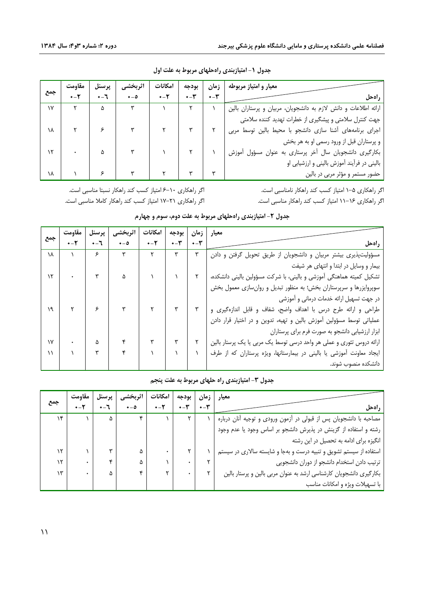|               | مقاومت             | پرسنل                     | اثربخشي           | امكانات                   | بودجه           | زمان           | معیار و امتیاز مربوطه                                           |
|---------------|--------------------|---------------------------|-------------------|---------------------------|-----------------|----------------|-----------------------------------------------------------------|
| جمع           | $+ - Y$            | $-1$                      | $\bullet - \circ$ | $+ - 5$                   | $+ - \tilde{r}$ | $+ - \tilde{}$ | راهحل                                                           |
| $\mathsf{v}$  |                    | ۵                         |                   |                           |                 |                | ارائه اطلاعات و دانش لازم به دانشجویان، مربیان و پرستاران بالین |
|               |                    |                           |                   |                           |                 |                | جهت کنترل سلامتی و پیشگیری از خطرات تهدید کننده سلامتی          |
| ١٨            | $\gamma$   $\beta$ |                           |                   |                           |                 |                | اجرای برنامههای آشنا سازی دانشجو با محیط بالین توسط مربی        |
|               |                    |                           |                   |                           |                 |                | و پرستاران قبل از ورود رسمی او به هر بخش                        |
| $\mathcal{N}$ |                    |                           |                   |                           |                 |                | بكارگيرى دانشجويان سال آخر پرستارى به عنوان مسؤول آموزش         |
|               |                    |                           |                   |                           |                 |                | بالینی در فرآیند آموزش بالینی و ارزشیابی او                     |
| ١٨            |                    | $\mathbf{r} = \mathbf{r}$ |                   | $\mathbf{r}$ $\mathbf{r}$ |                 |                | حضور مستمر و مؤثر مربی در بالین                                 |

جدول ١- امتیازبندی راهحلهای مربوط به علت اول

اگر راهکاری ۵–۱ امتیاز کسب کند راهکار نامناسبی است. اگر راهکاری ۱۶–۱۱ امتیاز کسب کند راهکار مناسبی است.

اگر راهکاری ۱۰–۶ امتیاز کسب کند راهکار نسبتا مناسبی است. اگر راهکاری ۲۱–۱۷ امتیاز کسب کند راهکار کاملا مناسبی است.

| جدول ۲- امتیازبندی راهحلهای مربوط به علت دوم، سوم و چهارم |  |  |
|-----------------------------------------------------------|--|--|
|-----------------------------------------------------------|--|--|

|     | مقاومت  | پرسنل          | اثربخشي           | امكانات | بودجه            | زمان                   | معيار                                                                 |
|-----|---------|----------------|-------------------|---------|------------------|------------------------|-----------------------------------------------------------------------|
| جمع | $+ - Y$ | $+ - 7$        | $\bullet - \circ$ | $+ - 5$ | $+ - \mathbf{y}$ | $\star - \check{\tau}$ | راهحل                                                                 |
| ١٨  |         | ۶              | ٣                 | ٢       | ٣                | ٣                      | مسؤولیتپذیری بیشتر مربیان و دانشجویان از طریق تحویل گرفتن و دادن      |
|     |         |                |                   |         |                  |                        | بیمار و وسایل در ابتدا و انتهای هر شیفت                               |
| ۱۲  |         |                | ۵                 |         |                  |                        | تشکیل کمیته هماهنگی آموزشی و بالینی، با شرکت مسؤولین بالینی دانشکده،  |
|     |         |                |                   |         |                  |                        | سوپروایزرها و سرپرستاران بخش؛ به منظور تبدیل و روانسازی معمول بخش     |
|     |         |                |                   |         |                  |                        | در جهت تسهیل ارائه خدمات درمانی و آموزشی                              |
| ١٩  |         | $\mathfrak{S}$ |                   |         |                  |                        | طراحی و ارائه طرح درس با اهداف واضح، شفاف و قابل اندازهگیری و         |
|     |         |                |                   |         |                  |                        | عملیاتی توسط مسؤولین آموزش بالین و تهیه، تدوین و در اختیار قرار دادن  |
|     |         |                |                   |         |                  |                        | ابزار ارزشیابی دانشجو به صورت فرم برای پرستاران                       |
| ۱۷  |         | ۵              |                   |         | ٣                |                        | ارائه دروس تئوری و عملی هر واحد درسی توسط یک مربی یا یک پرستار بالین  |
| ۱۱  |         | ٣              |                   |         |                  |                        | ایجاد معاونت آموزشی یا بالینی در بیمارستانها، ویژه پرستاران که از طرف |
|     |         |                |                   |         |                  |                        | دانشكده منصوب شوند.                                                   |

## جدول ۳- امتیازبندی راه حلهای مربوط به علت پنجم

|     | مقاومت  |        |         | امكانات | بودجه            | زمان             |                                                                     |
|-----|---------|--------|---------|---------|------------------|------------------|---------------------------------------------------------------------|
| جمع | $+ - Y$ | $+ -1$ | $+ - 0$ | $+ - Y$ | $+ - \mathbf{r}$ | $+ - \mathbf{r}$ | راهحل                                                               |
| ۱۴  |         | ۵      |         |         |                  |                  | مصاحبه با دانشجویان پس از قبولی در آزمون ورودی و توجیه آنان درباره  |
|     |         |        |         |         |                  |                  | رشته و استفاده از گزینش در پذیرش دانشجو بر اساس وجود یا عدم وجود    |
|     |         |        |         |         |                  |                  | انگیزه برای ادامه به تحصیل در این رشته                              |
| ۱۲  |         |        | ۵       |         |                  |                  | استفاده از سیستم تشویق و تنبیه درست و بهجا و شایسته سالاری در سیستم |
| ۱۲  |         |        |         |         |                  |                  | ترتيب دادن استخدام دانشجو از دوران دانشجويى                         |
| ۱۳  |         |        |         |         |                  |                  | بکارگیری دانشجویان کارشناسی ارشد به عنوان مربی بالین و پرستار بالین |
|     |         |        |         |         |                  |                  | با تسهیلات ویژه و امکانات مناسب                                     |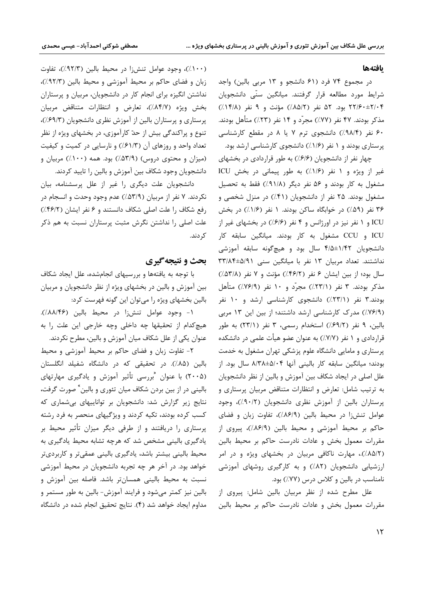#### يافتهها

در مجموع ۷۴ فرد (۶۱ دانشجو و ۱۳ مربی بالین) واجد شرایط مورد مطالعه قرار گرفتند. میانگین سنّی دانشجویان ۲۲/۶۰±۲/۰۴ بود. ۵۲ نفر (۸۵/۲٪) مؤنث و ۹ نفر (۱۴/۸٪) مذکر بودند. ۴۷ نفر (۷۷٪) مجرّد و ۱۴ نفر (۲۳٪) متأهل بودند. ۶۰ نفر (۹۸/۴٪) دانشجوی ترم ۷ یا ۸ در مقطع کارشناسی پرستاری بودند و ۱ نفر (۱/۶٪) دانشجوی کارشناسی ارشد بود.

چهار نفر از دانشجویان (۶۱۶٪) به طور قراردادی در بخشهای غیر از ویژه و ۱ نفر (۱/۶٪) به طور پیمانی در بخش ICU مشغول به کار بودند و ۵۶ نفر دیگر (۹۱/۸٪) فقط به تحصیل مشغول بودند. ۲۵ نفر از دانشجویان (۴۱٪) در منزل شخصی و ۳۶ نفر (۵۹٪) در خوابگاه ساکن بودند. ۱ نفر (۱/۶٪) در بخش ICU و ۱ نفر نیز در اورژانس و ۴ نفر (۶۱۶٪) در بخشهای غیر از ICU و CCU مشغول به كار بودند. ميانگين سابقه كار دانشجویان ۱/۴۲±۴/۵ سال بود و هیچگونه سابقه آموزشی نداشتند. تعداد مربیان ١٣ نفر با میانگین سنی ٣٣/٨۴±۵/٩١ سال بود؛ از بین ایشان ۶ نفر (۴۶/۲٪) مؤنث و ۷ نفر (۵۳/۸٪) مذکر بودند. ۳ نفر (۲۳/۱٪) مجرّد و ۱۰ نفر (۷۶/۹٪) متأهل بودند.۳ نفر (۲۳/۱٪) دانشجوی کارشناسی ارشد و ۱۰ نفر (٧۶/٩٪) مدرک کارشناسی ارشد داشتند؛ از بین این ١٣ مربی بالين، ۹ نفر (۶۹/۲٪) استخدام رسمي، ۳ نفر (۲۳/۱) به طور قراردادی و ۱ نفر (۷/۷٪) به عنوان عضو هیأت علمی در دانشکده پرستاری و مامایی دانشگاه علوم پزشکی تهران مشغول به خدمت بودند؛ میانگین سابقه کار بالینی آنها ۸/۳۸±۵/۰۴ سال بود. از علل اصلی در ایجاد شکاف بین آموزش و بالین از نظر دانشجویان به ترتیب شامل: تعارض و انتظارات متناقض مربیان پرستاری و پرستاران بالین از آموزش نظری دانشجویان (۹۰/۲٪)، وجود عوامل تنش زا در محیط بالین (٨۶/٩٪)، تفاوت زبان و فضای حاكم بر محيط آموزشي و محيط بالين (٨۶/٩٪)، پيروى از مقررات معمول بخش و عادات نادرست حاکم بر محیط بالین (٨٥/٢٪).، مهارت ناكافى مربيان در بخشهاى ويژه و در امر ارزشیابی دانشجویان (۸۲٪) و به کارگیری روشهای آموزشی نامناسب در بالین و کلاس درس (٧٧٪) بود.

علل مطرح شده از نظر مربیان بالین شامل: پیروی از مقررات معمول بخش و عادات نادرست حاکم بر محیط بالین

(۱۰۰٪)، وجود عوامل تنشiا در محيط بالين (٩٢/٣٪)، تفاوت زبان و فضای حاکم بر محیط آموزشی و محیط بالین (۹۲/۳٪)، نداشتن انگیزه برای انجام کار در دانشجویان، مربیان و پرستاران بخش ويژه (٨٤/٧٪)، تعارض و انتظارات متناقض مربيان پرستاری و پرستاران بالین از آموزش نظری دانشجویان (۶۹/۳٪)، تنوع و پراکندگی بیش از حدّ کارآموزی، در بخشهای ویژه از نظر تعداد واحد و روزهای آن (۶۱/۳٪) و نارسایی در کمیت و کیفیت (میزان و محتوی دروس) (۵۳/۹٪) بود. همه (۱۰۰٪) مربیان و دانشجویان وجود شکاف بین آموزش و بالین را تایید کردند.

دانشجویان علت دیگری را غیر از علل پرسشنامه، بیان نکردند. ۷ نفر از مربیان (۵۳/۹٪) عدم وجود وحدت و انسجام در رفع شكاف را علت اصلى شكاف دانستند و ۶ نفر ايشان (۴۶/۲٪) علت اصلی را نداشتن نگرش مثبت پرستاران نسبت به هم ذکر كر دند.

## بحث و نتیجه گیری

با توجه به یافتهها و بررسیهای انجامشده، علل ایجاد شکاف بین آموزش و بالین در بخشهای ویژه از نظر دانشجویان و مربیان بالین بخشهای ویژه را میتوان این گونه فهرست کرد:

١- وجود عوامل تنشiا در محيط بالين (٨٨/١٤۶٪). هیچ کدام از تحقیقها چه داخلی وچه خارجی این علت را به عنوان یکی از علل شکاف میان آموزش و بالین، مطرح نکردند.

٢- تفاوت زبان و فضاى حاكم بر محيط آموزشي و محيط بالین (۸۵٪). در تحقیقی که در دانشگاه شفیلد انگلستان (۲۰۰۵) با عنوان  $\,$ بررسی تأثیر آموزش و یادگیری مهارتهای بالینی در از بین بردن شکاف میان تئوری و بالین ٌ صورت گرفت، نتایج زیر گزارش شد: دانشجویان بر تواناییهای بی شماری که کسب کرده بودند، تکیه کردند و ویژگیهای منحصر به فرد رشته پرستاری را دریافتند و از طرفی دیگر میزان تأثیر محیط بر یادگیری بالینی مشخص شد که هرچه تشابه محیط یادگیری به محیط بالینی بیشتر باشد، یادگیری بالینی عمقیتر و کاربردیتر خواهد بود. در آخر هر چه تجربه دانشجویان در محیط آموزشی نسبت به محیط بالینی همسانتر باشد. فاصله بین آموزش و بالین نیز کمتر میشود و فرایند آموزش- بالین به طور مستمر و مداوم ایجاد خواهد شد (۴). نتایج تحقیق انجام شده در دانشگاه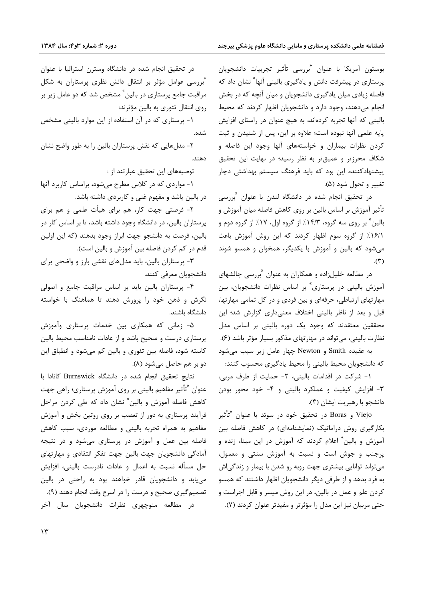بوستون آمريكا با عنوان  $\,$ "بررسي تأثير تجربيات دانشجويان پرستاری در پیشرفت دانش و یادگیری بالینی آنها<sup>»</sup> نشان داد که فاصله زیادی میان یادگیری دانشجویان و میان آنچه که در بخش انجام میدهند، وجود دارد و دانشجویان اظهار کردند که محیط بالینی که آنها تجربه کردهاند، به هیچ عنوان در راستای افزایش پایه علمی آنها نبوده است؛ علاوه بر این، پس از شنیدن و ثبت کردن نظرات بیماران و خواستههای آنها وجود این فاصله و شکاف محرزتر و عمیقتر به نظر رسید؛ در نهایت این تحقیق پیشنهادکننده این بود که باید فرهنگ سیستم بهداشتی دچار تغيير و تحول شود (۵).

در تحقیق انجام شده در دانشگاه لندن با عنوان <sup>م</sup>بررسی تأثیر آموزش بر اساس بالین بر روی کاهش فاصله میان آموزش و بالين ٌ بر روى سه گروه، ١۴/٣٪ از گروه اول، ١٧٪ از گروه دوم و ۱۶/۱٪ از گروه سوم اظهار کردند که این روش آموزش باعث میشود که بالین و آموزش با یکدیگر، همخوان و همسو شوند  $(\mathbf{r})$ 

در مطالعه خلیلزاده و همکاران به عنوان  $\widetilde{\zeta}_{\rm r}$ رسی چالشهای آموزش بالینی در پرستاری ٌ بر اساس نظرات دانشجویان، بین مهارتهای ارتباطی، حرفهای و بین فردی و در کل تمامی مهارتها، قبل و بعد از ناظر بالینی اختلاف معنیداری گزارش شد؛ این محققین معتقدند که وجود یک دوره بالینی بر اساس مدل نظارت بالینی، می تواند در مهار تهای مذکور بسیار مؤثر باشد (۶).

به عقیده Smith و Newton چهار عامل زیر سبب می شود که دانشجویان محیط بالینی را محیط یادگیری محسوب کنند:

١- شركت در اقدامات باليني، ٢- حمايت از طرف مربي، ٣- افزايش كيفيت و عملكرد باليني و ۴- خود محور بودن دانشجو با رهبريت ايشان (۴).

Viejo و Boras در تحقیق خود در سوئد با عنوان "تأثیر بکارگیری روش دراماتیک (نمایشنامهای) در کاهش فاصله بین آموزش و بالین ٌ اعلام کردند که آموزش در این مبنا، زنده و پرجنب و جوش است و نسبت به آموزش سنتی و معمول، می تواند توانایی بیشتری جهت روبه رو شدن با بیمار و زندگی اش به فرد بدهد و از طرفی دیگر دانشجویان اظهار داشتند که همسو کردن علم و عمل در بالین، در این روش میسر و قابل اجراست و حتی مربیان نیز این مدل را مؤثرتر و مفیدتر عنوان کردند (۷).

در تحقیق انجام شده در دانشگاه وسترن استرالیا با عنوان "بررسی عوامل مؤثر بر انتقال دانش نظری پرستاران به شکل مراقبت جامع پرستاری در بالین ٌ مشخص شد که دو عامل زیر بر روی انتقال تئوری به بالین مؤثرند:

۱- پرستاری که در آن استفاده از این موارد بالینی مشخص شده.

۲- مدلهایی که نقش پرستاران بالین را به طور واضح نشان دهند.

توصيههاي اين تحقيق عبارتند از :

۱- مواردی که در کلاس مطرح میشود، براساس کاربرد آنها در بالین یاشد و مفهوم غنی و کاربردی داشته باشد.

۲- فرصتی جهت کار، هم برای هیأت علمی و هم برای پرستاران بالین، در دانشگاه وجود داشته باشد، تا بر اساس کار در بالين، فرصت به دانشجو جهت ابراز وجود بدهند (كه اين اولين قدم در کم کردن فاصله بین آموزش و بالین است).

۳- پرستاران بالین، باید مدلهای نقشی بارز و واضحی برای دانشجويان معرفي كنند.

۴- پرستاران بالین باید بر اساس مراقبت جامع و اصولی نگرش و ذهن خود را پرورش دهند تا هماهنگ با خواسته دانشگاه باشند.

۵- زمانی که همکاری بین خدمات پرستاری وآموزش پرستاری درست و صحیح باشد و از عادات نامناسب محیط بالین کاسته شود، فاصله بین تئوری و بالین کم میشود و انطباق این دو بر هم حاصل میشود (۸).

نتايج تحقيق انجام شده در دانشگاه Burnswick كانادا با کاهش فاصله آموزش و بالین ٌ نشان داد که طی کردن مراحل فرآیند پرستاری به دور از تعصب بر روی روتین بخش و آموزش مفاهیم به همراه تجربه بالینی و مطالعه موردی، سبب کاهش فاصله بین عمل و آموزش در پرستاری می شود و در نتیجه آمادگی دانشجویان جهت بالین جهت تفکر انتقادی و مهارتهای حل مسأله نسبت به اعمال و عادات نادرست باليني، افزايش می یابد و دانشجویان قادر خواهند بود به راحتی در بالین تصمیم گیری صحیح و درست را در اسرع وقت انجام دهند (۹). در مطالعه منوچهری نظرات دانشجویان سال آخر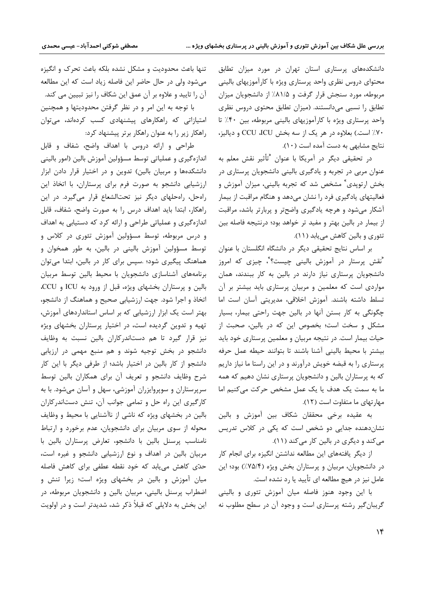دانشکدههای پرستاری استان تهران در مورد میزان تطابق محتواي دروس نظري واحد پرستاري ويژه با كارآموزيهاي باليني مربوطه، مورد سنجش قرار گرفت و ۸۱/۵٪ از دانشجویان میزان تطابق را نسبی میدانستند. (میزان تطابق محتوی دروس نظری واحد پرستاری ویژه با کارآموزیهای بالینی مربوطه، بین ۴۰٪ تا ۷۰٪ است.) بعلاوه در هر یک از سه بخش CCU ،ICU و دیالیز، نتایج مشابهی به دست آمده است (١٠).

در تحقیقی دیگر در آمریکا با عنوان "تأثیر نقش معلم به عنوان مربی در تجربه و یادگیری بالینی دانشجویان پرستاری در بخش ارتوپدی ٌ مشخص شد که تجربه بالینی، میزان آموزش و فعالیتهای یادگیری فرد را نشان میدهد و هنگام مراقبت از بیمار آشکار میشود و هرچه یادگیری واضحتر و پربارتر باشد، مراقبت از بیمار در بالین بهتر و مفید تر خواهد بود؛ درنتیجه فاصله بین تئوری و بالین کاهش می یابد (١١).

بر اساس نتایج تحقیقی دیگر در دانشگاه انگلستان با عنوان "نقش پرستار در آموزش بالینی چیست؟"، چیزی که امروز دانشجویان پرستاری نیاز دارند در بالین به کار ببندند، همان مواردی است که معلمین و مربیان پرستاری باید بیشتر بر آن تسلط داشته باشند. آموزش اخلاقی، مدیریتی آسان است اما چگونگی به کار بستن آنها در بالین جهت راحتی بیمار، بسیار مشکل و سخت است؛ بخصوص این که در بالین، صحبت از حیات بیمار است. در نتیجه مربیان و معلمین پرستاری خود باید بيشتر با محيط باليني آشنا باشند تا بتوانند حيطه عمل حرفه پرستاری را به قبضه خویش درآورند و در این راستا ما نیاز داریم که به پرستاران بالین و دانشجویان پرستاری نشان دهیم که همه ما به سمت یک هدف یا یک عمل مشخص حرکت می کنیم اما مهارتهای ما متفاوت است (١٢).

به عقیده برخی محققان شکاف بین آموزش و بالین نشان دهنده جدایی دو شخص است که یکی در کلاس تدریس می کند و دیگری در بالین کار می کند (۱۱).

از دیگر یافتههای این مطالعه نداشتن انگیزه برای انجام کار در دانشجویان، مربیان و پرستاران بخش ویژه (۷۵/۴٪) بود؛ این عامل نیز در هیچ مطالعه ای تأیید یا رد نشده است.

با این وجود هنوز فاصله میان آموزش تئوری و بالینی گریبان گیر رشته پرستاری است و وجود آن در سطح مطلوب نه

تنها باعث محدوديت و مشكل نشده بلكه باعث تحرك و انگيزه میشود ولی در حال حاضر این فاصله زیاد است که این مطالعه آن را تایید و علاوه بر آن عمق این شکاف را نیز تبیین می کند.

با توجه به این امر و در نظر گرفتن محدودیتها و همچنین امتیازاتی که راهکارهای پیشنهادی کسب کردهاند، میتوان راهکار زیر را به عنوان راهکار برتر پیشنهاد کرد:

طراحی و ارائه دروس با اهداف واضح، شفاف و قابل اندازهگیری و عملیاتی توسط مسؤولین آموزش بالین (امور بالینی دانشکدهها و مربیان بالین) تدوین و در اختیار قرار دادن ابزار ارزشیابی دانشجو به صورت فرم برای پرستاران، با اتخاذ این راهحل، راهحلهای دیگر نیز تحتالشعاع قرار میگیرد. در این راهکار، ابتدا باید اهداف درس را به صورت واضح، شفاف، قابل اندازهگیری و عملیاتی طراحی و ارائه کرد که دستیابی به اهداف و درس مربوطه، توسط مسؤولین آموزش تئوری در کلاس و توسط مسؤولین آموزش بالینی در بالین، به طور همخوان و هماهنگ پیگیری شود؛ .سپس برای کار در بالین، ابتدا می توان برنامههای آشناسازی دانشجویان با محیط بالین توسط مربیان بالین و پرستاران بخشهای ویژه، قبل از ورود به ICU و CCU، اتخاذ و اجرا شود. جهت ارزشیابی صحیح و هماهنگ از دانشجو، بهتر است یک ابزار ارزشیابی که بر اساس استانداردهای آموزش، تهیه و تدوین گردیده است، در اختیار پرستاران بخشهای ویژه نیز قرار گیرد تا هم دستاندرکاران بالین نسبت به وظایف دانشجو در بخش توجیه شوند و هم منبع مهمی در ارزیابی دانشجو از کار بالین در اختیار باشد؛ از طرفی دیگر با این کار شرح وظایف دانشجو و تعریف آن برای همکاران بالین توسط سرپرستاران و سوپروایزران آموزشی، سهل و آسان میشود. با به کارگیری این راه حل و تمامی جوانب آن، تنش دستاندرکاران بالین در بخشهای ویژه که ناشی از ناآشنایی با محیط و وظایف محوله از سوی مربیان برای دانشجویان، عدم برخورد و ارتباط نامناسب پرسنل بالین با دانشجو، تعارض پرستاران بالین با مربیان بالین در اهداف و نوع ارزشیابی دانشجو و غیره است، حدّی کاهش می یابد که خود نقطه عطفی برای کاهش فاصله میان آموزش و بالین در بخشهای ویژه است؛ زیرا تنش و اضطراب پرسنل بالینی، مربیان بالین و دانشجویان مربوطه، در این بخش به دلایلی که قبلاً ذکر شد، شدیدتر است و در اولویت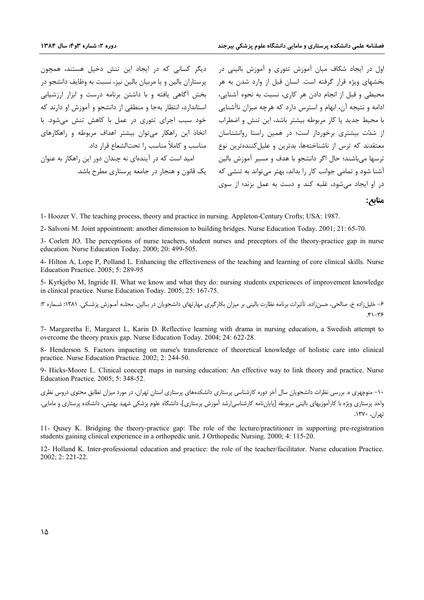دیگر کسانی که در ایجاد این تنش دخیل هستند، همچون پرستاران بالین و یا مربیان بالین نیز، نسبت به وظایف دانشجو در بخش آگاهی یافته و با داشتن برنامه درست و ابزار ارزشیابی استاندارد، انتظار بهجا و منطقی از دانشجو و آموزش او دارند که خود سبب اجرای تئوری در عمل با کاهش تنش میشود. با اتخاذ این راهکار می توان بیشتر اهداف مربوطه و راهکارهای مناسب و كاملاً مناسب , اتحتالشعاع قرار داد. امید است که در آیندهای نه چندان دور این راهکار به عنوان یک قانون و هنجار در جامعه پرستاری مطرح باشد.

اول در ایجاد شکاف میان آموزش تئوری و آموزش بالینی در بخشهای ویژه قرار گرفته است. انسان قبل از وارد شدن به هر محیطی و قبل از انجام دادن هر کاری، نسبت به نحوه آشنایی، ادامه و نتیجه آن، ابهام و استرس دارد که هرچه میزان ناآشنایی با محیط جدید یا کار مربوطه بیشتر باشد، این تنش و اضطراب از شدّت بیشتری برخوردار است؛ در همین راستا روانشناسان معتقدند که ترس از ناشناختهها، بدترین و علیلکنندهترین نوع ترسها مي باشند؛ حال اگر دانشجو با هدف و مسير آموزش بالين آشنا شود و تمامی جوانب کار را بداند، بهتر می تواند به تنشی که در او ایجاد می شود، غلبه کند و دست به عمل بزند؛ از سوی

منابع:

1- Hoozer V. The teaching process, theory and practice in nursing. Appleton-Century Crofts; USA: 1987.

2- Salvoni M. Joint appointment: another dimension to building bridges. Nurse Education Today. 2001; 21: 65-70.

3- Corlett JO. The perceptions of nurse teachers, student nurses and preceptors of the theory-practice gap in nurse education. Nurse Education Today. 2000; 20: 499-505.

4- Hilton A, Lope P, Polland L. Enhancing the effectiveness of the teaching and learning of core clinical skills. Nurse Education Practice. 2005: 5: 289-95

5- Kyrkjebo M, Ingride H. What we know and what they do: nursing students experiences of improvement knowledge in clinical practice. Nurse Education Today. 2005; 25: 167-75.

۶– خلیل:اده خ، صالحی، حسن:اده. تأثیرات برنامه نظارت بالینی بر میزان بکارگیری مهارتهای دانشجویان در پیالین. مجلبه آمـوزش پزشـکی. ۱۳۸۱: شـماره ۳:  $F1 - F5$ 

7- Margaretha E, Margaret L, Karin D. Reflective learning with drama in nursing education, a Swedish attempt to overcome the theory praxis gap. Nurse Education Today. 2004; 24: 622-28.

8- Henderson S. Factors impacting on nurse's transference of theoretical knowledge of holistic care into clinical practice. Nurse Education Practice. 2002: 2: 244-50.

9- Hicks-Moore L. Clinical concept maps in nursing education: An effective way to link theory and practice. Nurse Education Practice. 2005; 5: 348-52.

۱۰– منوچهری ه. بررسی نظرات دانشجویان سال آخر دوره کارشناسی پرستاری دانشکدههای پرستاری استان تهران، در مورد میزان تطابق محتوی دروس نظری واحد پرستاری ویژه با کارآموزیهای بالینی مربوطه [پایان نامه کارشناسی|رشد آموزش پرستاری]، دانشگاه علوم پزشکی شهید بهشتی، دانشکده پرستاری و مامایی. تهران، ۱۳۷۰.

11- Qusey K. Bridging the theory-practice gap: The role of the lecture/practitioner in supporting pre-registration students gaining clinical experience in a orthopedic unit. J Orthopedic Nursing. 2000; 4: 115-20.

12- Holland K. Inter-professional education and practice: the role of the teacher/facilitator. Nurse education Practice. 2002; 2: 221-22.